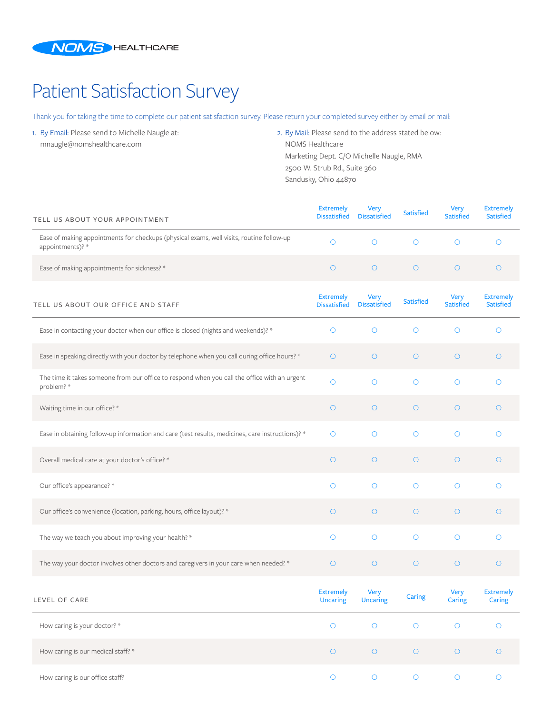

## Patient Satisfaction Survey

Thank you for taking the time to complete our patient satisfaction survey. Please return your completed survey either by email or mail:

1. By Email: Please send to Michelle Naugle at: mnaugle@nomshealthcare.com

2. By Mail: Please send to the address stated below: NOMS Healthcare Marketing Dept. C/O Michelle Naugle, RMA 2500 W. Strub Rd., Suite 360 Sandusky, Ohio 44870

| TELL US ABOUT YOUR APPOINTMENT                                                                               | <b>Extremely</b><br><b>Dissatisfied</b> | <b>Very</b><br><b>Dissatisfied</b> | <b>Satisfied</b> | Very<br><b>Satisfied</b> | <b>Extremely</b><br><b>Satisfied</b> |
|--------------------------------------------------------------------------------------------------------------|-----------------------------------------|------------------------------------|------------------|--------------------------|--------------------------------------|
| Ease of making appointments for checkups (physical exams, well visits, routine follow-up<br>appointments)? * | $\circ$                                 | $\circ$                            | $\circ$          | $\circ$                  | $\circ$                              |
| Ease of making appointments for sickness? *                                                                  | $\circ$                                 | $\circ$                            | $\circ$          | $\circ$                  | $\circ$                              |
| TELL US ABOUT OUR OFFICE AND STAFF                                                                           | <b>Extremely</b><br><b>Dissatisfied</b> | Very<br><b>Dissatisfied</b>        | Satisfied        | Very<br><b>Satisfied</b> | <b>Extremely</b><br><b>Satisfied</b> |
| Ease in contacting your doctor when our office is closed (nights and weekends)? *                            | $\circ$                                 | $\circ$                            | $\circ$          | O                        | $\circ$                              |
| Ease in speaking directly with your doctor by telephone when you call during office hours? *                 | $\circ$                                 | $\circ$                            | $\circ$          | $\circ$                  | $\circ$                              |
| The time it takes someone from our office to respond when you call the office with an urgent<br>problem? *   | $\circ$                                 | $\circ$                            | $\circ$          | $\circ$                  | $\circ$                              |
| Waiting time in our office? *                                                                                | $\circ$                                 | $\circ$                            | $\circ$          | $\circ$                  | $\circ$                              |
| Ease in obtaining follow-up information and care (test results, medicines, care instructions)? *             | $\circ$                                 | $\circ$                            | $\circ$          | $\circ$                  | $\circ$                              |
| Overall medical care at your doctor's office? *                                                              | $\circ$                                 | $\circ$                            | $\circ$          | $\circ$                  | $\circ$                              |
| Our office's appearance? *                                                                                   | $\circ$                                 | $\circ$                            | $\circ$          | $\circ$                  | $\circ$                              |
| Our office's convenience (location, parking, hours, office layout)? *                                        | $\circ$                                 | $\circ$                            | $\circ$          | $\circ$                  | $\circ$                              |
| The way we teach you about improving your health? *                                                          | $\circ$                                 | $\circ$                            | $\circ$          | $\circ$                  | $\circ$                              |
| The way your doctor involves other doctors and caregivers in your care when needed? *                        | $\circ$                                 | $\circ$                            | $\circ$          | $\circ$                  | $\circ$                              |
| LEVEL OF CARE                                                                                                | <b>Extremely</b><br><b>Uncaring</b>     | Very<br><b>Uncaring</b>            | Caring           | Very<br>Caring           | <b>Extremely</b><br>Caring           |
| How caring is your doctor? *                                                                                 | $\bigcirc$                              | $\circ$                            | $\bigcirc$       | $\circ$                  | $\circ$                              |
| How caring is our medical staff? *                                                                           | $\bigcirc$                              | $\circ$                            | $\bigcirc$       | $\bigcirc$               | $\bigcirc$                           |
| How caring is our office staff?                                                                              | $\bigcirc$                              | $\circ$                            | $\circ$          | $\bigcirc$               | $\circ$                              |